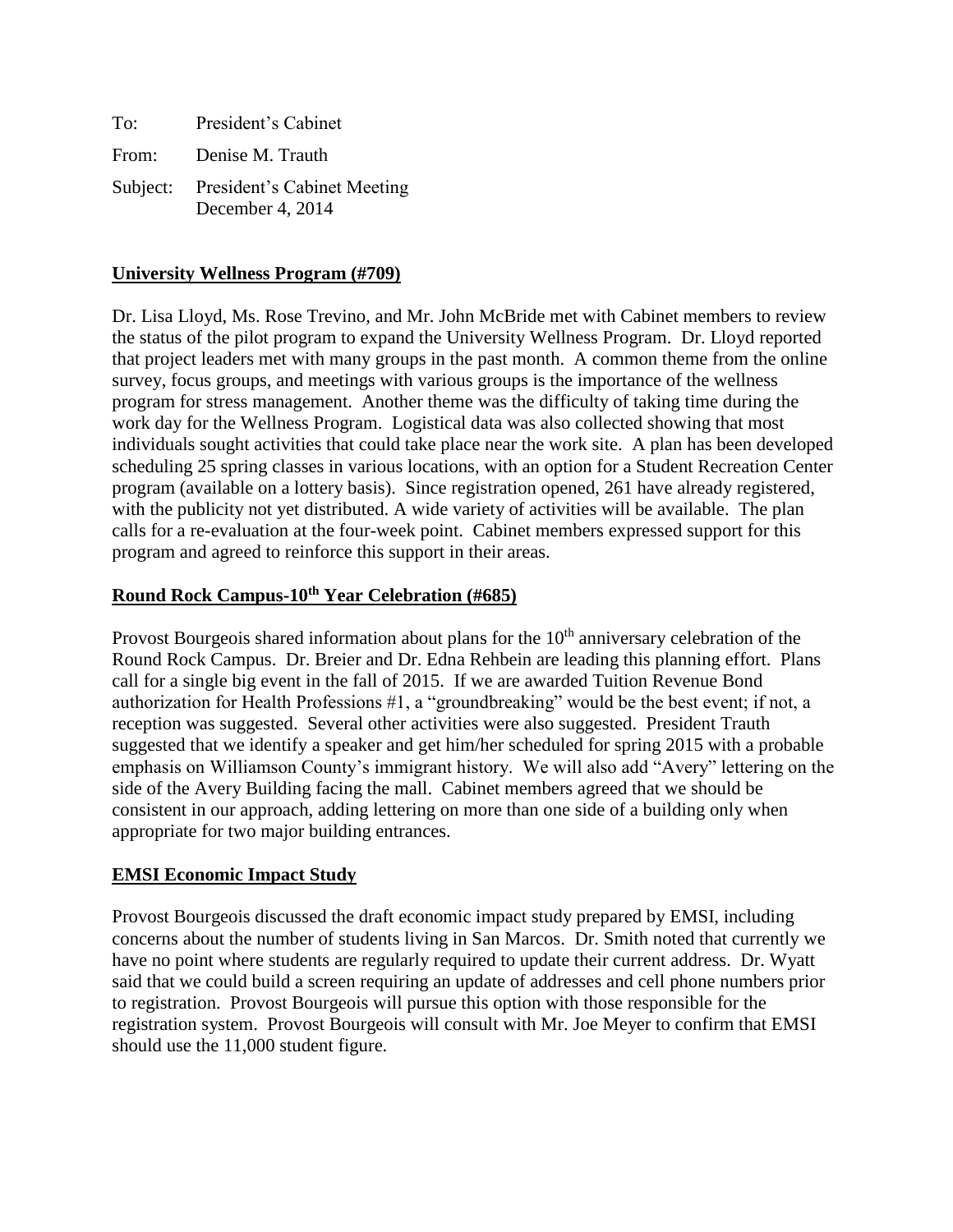| To:   | President's Cabinet                                      |
|-------|----------------------------------------------------------|
| From: | Denise M. Trauth                                         |
|       | Subject: President's Cabinet Meeting<br>December 4, 2014 |

#### **University Wellness Program (#709)**

Dr. Lisa Lloyd, Ms. Rose Trevino, and Mr. John McBride met with Cabinet members to review the status of the pilot program to expand the University Wellness Program. Dr. Lloyd reported that project leaders met with many groups in the past month. A common theme from the online survey, focus groups, and meetings with various groups is the importance of the wellness program for stress management. Another theme was the difficulty of taking time during the work day for the Wellness Program. Logistical data was also collected showing that most individuals sought activities that could take place near the work site. A plan has been developed scheduling 25 spring classes in various locations, with an option for a Student Recreation Center program (available on a lottery basis). Since registration opened, 261 have already registered, with the publicity not yet distributed. A wide variety of activities will be available. The plan calls for a re-evaluation at the four-week point. Cabinet members expressed support for this program and agreed to reinforce this support in their areas.

#### **Round Rock Campus-10th Year Celebration (#685)**

Provost Bourgeois shared information about plans for the  $10<sup>th</sup>$  anniversary celebration of the Round Rock Campus. Dr. Breier and Dr. Edna Rehbein are leading this planning effort. Plans call for a single big event in the fall of 2015. If we are awarded Tuition Revenue Bond authorization for Health Professions #1, a "groundbreaking" would be the best event; if not, a reception was suggested. Several other activities were also suggested. President Trauth suggested that we identify a speaker and get him/her scheduled for spring 2015 with a probable emphasis on Williamson County's immigrant history. We will also add "Avery" lettering on the side of the Avery Building facing the mall. Cabinet members agreed that we should be consistent in our approach, adding lettering on more than one side of a building only when appropriate for two major building entrances.

#### **EMSI Economic Impact Study**

Provost Bourgeois discussed the draft economic impact study prepared by EMSI, including concerns about the number of students living in San Marcos. Dr. Smith noted that currently we have no point where students are regularly required to update their current address. Dr. Wyatt said that we could build a screen requiring an update of addresses and cell phone numbers prior to registration. Provost Bourgeois will pursue this option with those responsible for the registration system. Provost Bourgeois will consult with Mr. Joe Meyer to confirm that EMSI should use the 11,000 student figure.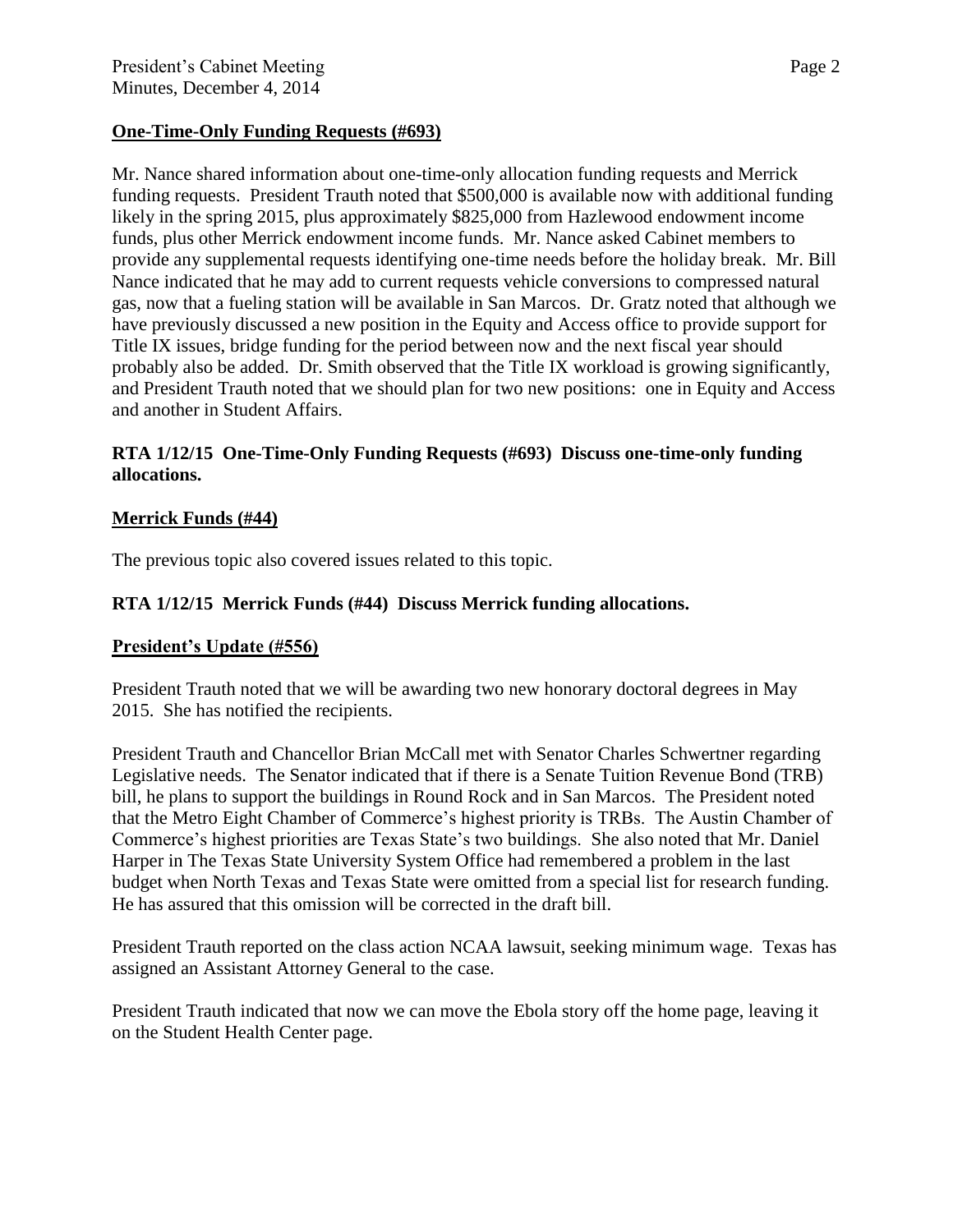### **One-Time-Only Funding Requests (#693)**

Mr. Nance shared information about one-time-only allocation funding requests and Merrick funding requests. President Trauth noted that \$500,000 is available now with additional funding likely in the spring 2015, plus approximately \$825,000 from Hazlewood endowment income funds, plus other Merrick endowment income funds. Mr. Nance asked Cabinet members to provide any supplemental requests identifying one-time needs before the holiday break. Mr. Bill Nance indicated that he may add to current requests vehicle conversions to compressed natural gas, now that a fueling station will be available in San Marcos. Dr. Gratz noted that although we have previously discussed a new position in the Equity and Access office to provide support for Title IX issues, bridge funding for the period between now and the next fiscal year should probably also be added. Dr. Smith observed that the Title IX workload is growing significantly, and President Trauth noted that we should plan for two new positions: one in Equity and Access and another in Student Affairs.

### **RTA 1/12/15 One-Time-Only Funding Requests (#693) Discuss one-time-only funding allocations.**

## **Merrick Funds (#44)**

The previous topic also covered issues related to this topic.

## **RTA 1/12/15 Merrick Funds (#44) Discuss Merrick funding allocations.**

#### **President's Update (#556)**

President Trauth noted that we will be awarding two new honorary doctoral degrees in May 2015. She has notified the recipients.

President Trauth and Chancellor Brian McCall met with Senator Charles Schwertner regarding Legislative needs. The Senator indicated that if there is a Senate Tuition Revenue Bond (TRB) bill, he plans to support the buildings in Round Rock and in San Marcos. The President noted that the Metro Eight Chamber of Commerce's highest priority is TRBs. The Austin Chamber of Commerce's highest priorities are Texas State's two buildings. She also noted that Mr. Daniel Harper in The Texas State University System Office had remembered a problem in the last budget when North Texas and Texas State were omitted from a special list for research funding. He has assured that this omission will be corrected in the draft bill.

President Trauth reported on the class action NCAA lawsuit, seeking minimum wage. Texas has assigned an Assistant Attorney General to the case.

President Trauth indicated that now we can move the Ebola story off the home page, leaving it on the Student Health Center page.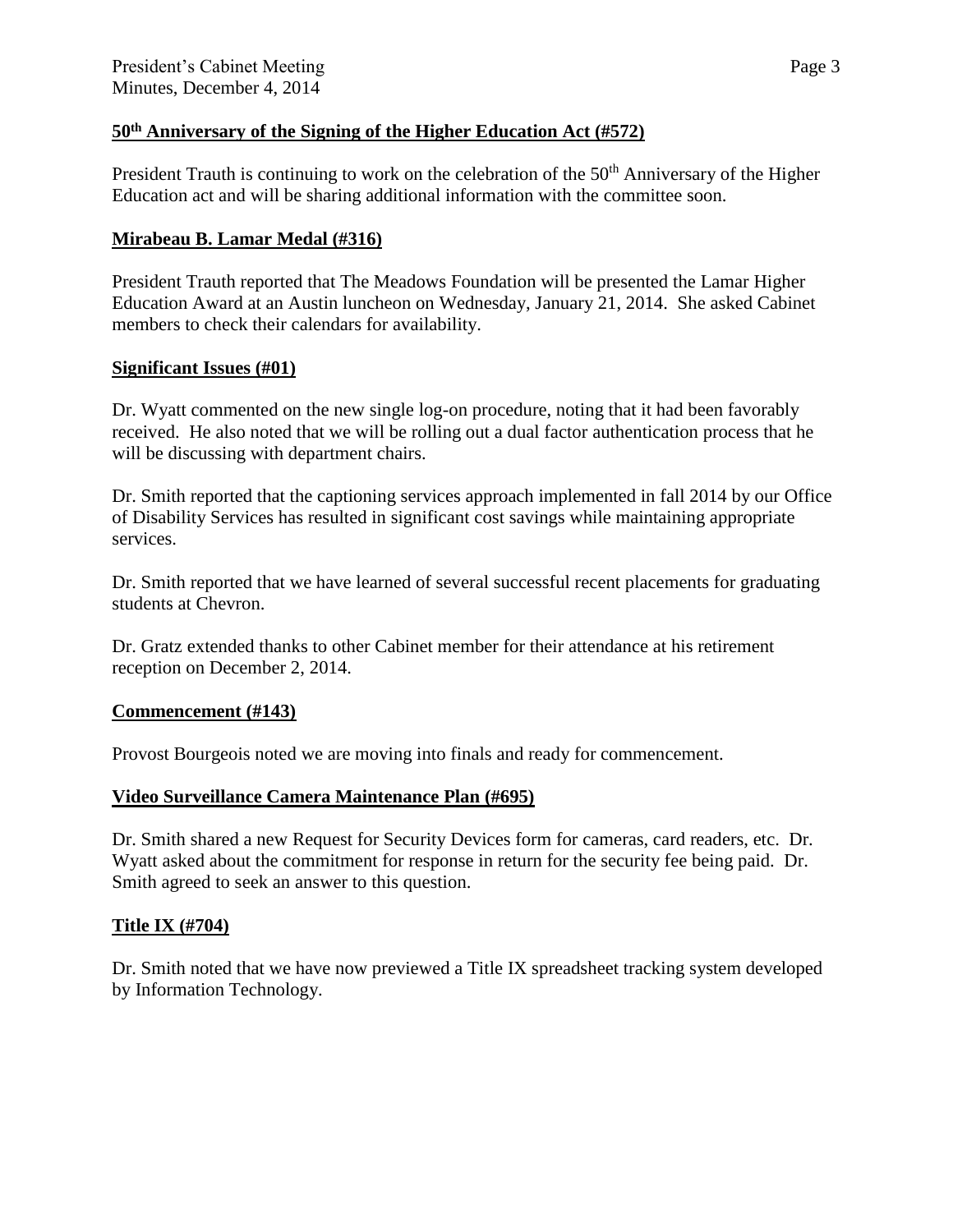# **50th Anniversary of the Signing of the Higher Education Act (#572)**

President Trauth is continuing to work on the celebration of the 50<sup>th</sup> Anniversary of the Higher Education act and will be sharing additional information with the committee soon.

## **Mirabeau B. Lamar Medal (#316)**

President Trauth reported that The Meadows Foundation will be presented the Lamar Higher Education Award at an Austin luncheon on Wednesday, January 21, 2014. She asked Cabinet members to check their calendars for availability.

## **Significant Issues (#01)**

Dr. Wyatt commented on the new single log-on procedure, noting that it had been favorably received. He also noted that we will be rolling out a dual factor authentication process that he will be discussing with department chairs.

Dr. Smith reported that the captioning services approach implemented in fall 2014 by our Office of Disability Services has resulted in significant cost savings while maintaining appropriate services.

Dr. Smith reported that we have learned of several successful recent placements for graduating students at Chevron.

Dr. Gratz extended thanks to other Cabinet member for their attendance at his retirement reception on December 2, 2014.

## **Commencement (#143)**

Provost Bourgeois noted we are moving into finals and ready for commencement.

# **Video Surveillance Camera Maintenance Plan (#695)**

Dr. Smith shared a new Request for Security Devices form for cameras, card readers, etc. Dr. Wyatt asked about the commitment for response in return for the security fee being paid. Dr. Smith agreed to seek an answer to this question.

# **Title IX (#704)**

Dr. Smith noted that we have now previewed a Title IX spreadsheet tracking system developed by Information Technology.